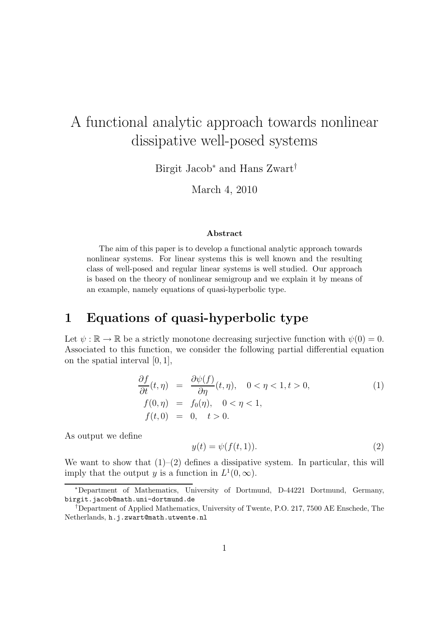## A functional analytic approach towards nonlinear dissipative well-posed systems

Birgit Jacob<sup>∗</sup> and Hans Zwart†

March 4, 2010

## Abstract

The aim of this paper is to develop a functional analytic approach towards nonlinear systems. For linear systems this is well known and the resulting class of well-posed and regular linear systems is well studied. Our approach is based on the theory of nonlinear semigroup and we explain it by means of an example, namely equations of quasi-hyperbolic type.

## 1 Equations of quasi-hyperbolic type

Let  $\psi : \mathbb{R} \to \mathbb{R}$  be a strictly monotone decreasing surjective function with  $\psi(0) = 0$ . Associated to this function, we consider the following partial differential equation on the spatial interval [0, 1],

$$
\frac{\partial f}{\partial t}(t,\eta) = \frac{\partial \psi(f)}{\partial \eta}(t,\eta), \quad 0 < \eta < 1, t > 0, \nf(0,\eta) = f_0(\eta), \quad 0 < \eta < 1, \nf(t,0) = 0, \quad t > 0.
$$
\n(1)

As output we define

$$
y(t) = \psi(f(t, 1)).\tag{2}
$$

We want to show that  $(1)-(2)$  defines a dissipative system. In particular, this will imply that the output y is a function in  $L^1(0,\infty)$ .

<sup>∗</sup>Department of Mathematics, University of Dortmund, D-44221 Dortmund, Germany, birgit.jacob@math.uni-dortmund.de

<sup>†</sup>Department of Applied Mathematics, University of Twente, P.O. 217, 7500 AE Enschede, The Netherlands, h.j.zwart@math.utwente.nl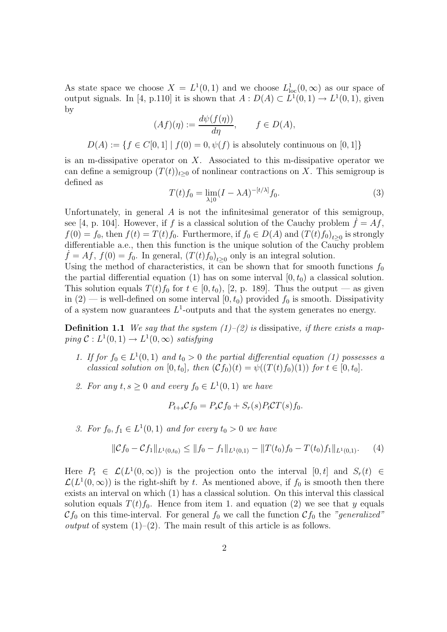As state space we choose  $X = L^1(0,1)$  and we choose  $L^1_{loc}(0,\infty)$  as our space of output signals. In [4, p.110] it is shown that  $A: D(A) \subset L^1(0,1) \to L^1(0,1)$ , given by

$$
(Af)(\eta) := \frac{d\psi(f(\eta))}{d\eta}, \qquad f \in D(A),
$$

 $D(A) := \{ f \in C[0,1] \mid f(0) = 0, \psi(f) \text{ is absolutely continuous on } [0,1] \}$ 

is an m-dissipative operator on  $X$ . Associated to this m-dissipative operator we can define a semigroup  $(T(t))_{t\geq0}$  of nonlinear contractions on X. This semigroup is defined as

$$
T(t)f_0 = \lim_{\lambda \downarrow 0} (I - \lambda A)^{-[t/\lambda]} f_0.
$$
 (3)

Unfortunately, in general  $\vec{A}$  is not the infinitesimal generator of this semigroup, see [4, p. 104]. However, if f is a classical solution of the Cauchy problem  $f = Af$ ,  $f(0) = f_0$ , then  $f(t) = T(t)f_0$ . Furthermore, if  $f_0 \in D(A)$  and  $(T(t)f_0)_{t \geq 0}$  is strongly differentiable a.e., then this function is the unique solution of the Cauchy problem  $\dot{f} = Af, f(0) = f_0.$  In general,  $(T(t)f_0)_{t \geq 0}$  only is an integral solution.

Using the method of characteristics, it can be shown that for smooth functions  $f_0$ the partial differential equation (1) has on some interval  $[0, t_0)$  a classical solution. This solution equals  $T(t)f_0$  for  $t \in [0, t_0)$ , [2, p. 189]. Thus the output — as given in  $(2)$  — is well-defined on some interval  $[0, t_0)$  provided  $f_0$  is smooth. Dissipativity of a system now guarantees  $L^1$ -outputs and that the system generates no energy.

**Definition 1.1** We say that the system  $(1)$ – $(2)$  is dissipative, if there exists a map $ping \mathcal{C}: L^1(0,1) \to L^1(0,\infty)$  satisfying

- 1. If for  $f_0 \in L^1(0,1)$  and  $t_0 > 0$  the partial differential equation (1) possesses a classical solution on  $[0, t_0]$ , then  $(\mathcal{C}f_0)(t) = \psi((T(t) f_0)(1))$  for  $t \in [0, t_0]$ .
- 2. For any  $t, s \ge 0$  and every  $f_0 \in L^1(0,1)$  we have

$$
P_{t+s}\mathcal{C}f_0 = P_s\mathcal{C}f_0 + S_r(s)P_t\mathcal{C}T(s)f_0.
$$

3. For  $f_0, f_1 \in L^1(0,1)$  and for every  $t_0 > 0$  we have

$$
\|\mathcal{C}f_0 - \mathcal{C}f_1\|_{L^1(0,t_0)} \le \|f_0 - f_1\|_{L^1(0,1)} - \|T(t_0)f_0 - T(t_0)f_1\|_{L^1(0,1)}.\tag{4}
$$

Here  $P_t \in \mathcal{L}(L^1(0,\infty))$  is the projection onto the interval  $[0,t]$  and  $S_r(t) \in$  $\mathcal{L}(L^1(0,\infty))$  is the right-shift by t. As mentioned above, if  $f_0$  is smooth then there exists an interval on which (1) has a classical solution. On this interval this classical solution equals  $T(t)f_0$ . Hence from item 1. and equation (2) we see that y equals  $\mathcal{C}f_0$  on this time-interval. For general  $f_0$  we call the function  $\mathcal{C}f_0$  the "generalized" *output* of system  $(1)$ – $(2)$ . The main result of this article is as follows.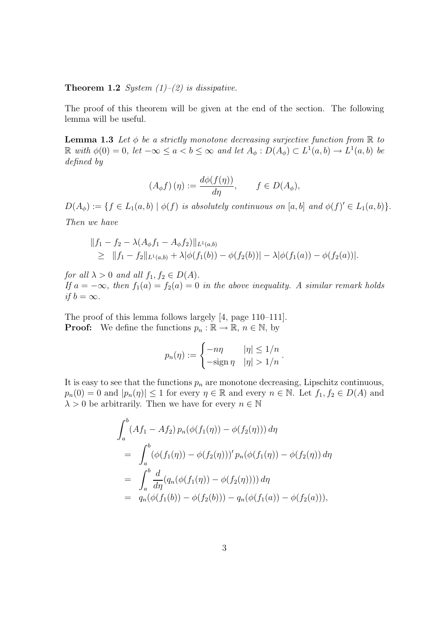**Theorem 1.2** System  $(1)$ – $(2)$  is dissipative.

The proof of this theorem will be given at the end of the section. The following lemma will be useful.

**Lemma 1.3** Let  $\phi$  be a strictly monotone decreasing surjective function from  $\mathbb R$  to  $\mathbb R$  with  $\phi(0) = 0$ , let  $-\infty \le a < b \le \infty$  and let  $A_{\phi}: D(A_{\phi}) \subset L^1(a, b) \to L^1(a, b)$  be defined by

$$
(A_{\phi}f)(\eta) := \frac{d\phi(f(\eta))}{d\eta}, \qquad f \in D(A_{\phi}),
$$

 $D(A_{\phi}) := \{ f \in L_1(a, b) \mid \phi(f) \text{ is absolutely continuous on } [a, b] \text{ and } \phi(f)' \in L_1(a, b) \}.$ Then we have

$$
||f_1 - f_2 - \lambda (A_{\phi} f_1 - A_{\phi} f_2)||_{L^1(a,b)}
$$
  
\n
$$
\geq ||f_1 - f_2||_{L^1(a,b)} + \lambda |\phi(f_1(b)) - \phi(f_2(b))| - \lambda |\phi(f_1(a)) - \phi(f_2(a))|.
$$

for all  $\lambda > 0$  and all  $f_1, f_2 \in D(A)$ . If  $a = -\infty$ , then  $f_1(a) = f_2(a) = 0$  in the above inequality. A similar remark holds if  $b = \infty$ .

The proof of this lemma follows largely [4, page 110–111]. **Proof:** We define the functions  $p_n : \mathbb{R} \to \mathbb{R}$ ,  $n \in \mathbb{N}$ , by

$$
p_n(\eta) := \begin{cases} -n\eta & |\eta| \le 1/n \\ -\operatorname{sign} \eta & |\eta| > 1/n \end{cases}.
$$

It is easy to see that the functions  $p_n$  are monotone decreasing, Lipschitz continuous,  $p_n(0) = 0$  and  $|p_n(\eta)| \le 1$  for every  $\eta \in \mathbb{R}$  and every  $n \in \mathbb{N}$ . Let  $f_1, f_2 \in D(A)$  and  $\lambda > 0$  be arbitrarily. Then we have for every  $n \in \mathbb{N}$ 

$$
\int_{a}^{b} (Af_1 - Af_2) p_n(\phi(f_1(\eta)) - \phi(f_2(\eta))) d\eta
$$
  
= 
$$
\int_{a}^{b} (\phi(f_1(\eta)) - \phi(f_2(\eta)))' p_n(\phi(f_1(\eta)) - \phi(f_2(\eta))) d\eta
$$
  
= 
$$
\int_{a}^{b} \frac{d}{d\eta} (q_n(\phi(f_1(\eta)) - \phi(f_2(\eta)))) d\eta
$$
  
= 
$$
q_n(\phi(f_1(b)) - \phi(f_2(b))) - q_n(\phi(f_1(a)) - \phi(f_2(a))),
$$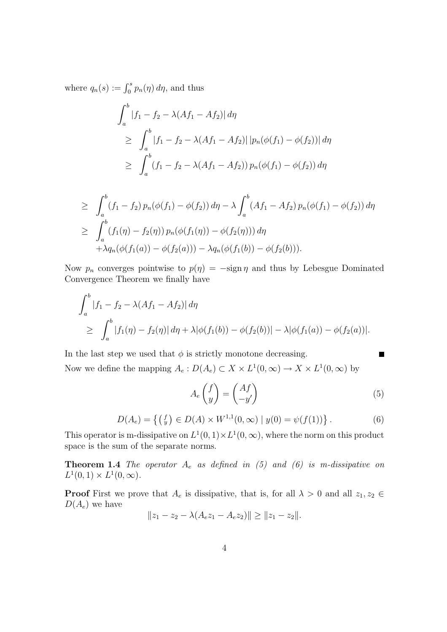where  $q_n(s) := \int_0^s p_n(\eta) d\eta$ , and thus

$$
\int_{a}^{b} |f_{1} - f_{2} - \lambda (Af_{1} - Af_{2})| d\eta
$$
\n
$$
\geq \int_{a}^{b} |f_{1} - f_{2} - \lambda (Af_{1} - Af_{2})| |p_{n}(\phi(f_{1}) - \phi(f_{2}))| d\eta
$$
\n
$$
\geq \int_{a}^{b} (f_{1} - f_{2} - \lambda (Af_{1} - Af_{2})) p_{n}(\phi(f_{1}) - \phi(f_{2})) d\eta
$$

$$
\geq \int_{a}^{b} (f_1 - f_2) p_n(\phi(f_1) - \phi(f_2)) d\eta - \lambda \int_{a}^{b} (Af_1 - Af_2) p_n(\phi(f_1) - \phi(f_2)) d\eta
$$
  
\n
$$
\geq \int_{a}^{b} (f_1(\eta) - f_2(\eta)) p_n(\phi(f_1(\eta)) - \phi(f_2(\eta))) d\eta
$$
  
\n
$$
+ \lambda q_n(\phi(f_1(a)) - \phi(f_2(a))) - \lambda q_n(\phi(f_1(b)) - \phi(f_2(b))).
$$

Now  $p_n$  converges pointwise to  $p(\eta) = -\text{sign}\,\eta$  and thus by Lebesgue Dominated Convergence Theorem we finally have

$$
\int_{a}^{b} |f_1 - f_2 - \lambda(Af_1 - Af_2)| d\eta
$$
  
\n
$$
\geq \int_{a}^{b} |f_1(\eta) - f_2(\eta)| d\eta + \lambda |\phi(f_1(b)) - \phi(f_2(b))| - \lambda |\phi(f_1(a)) - \phi(f_2(a))|.
$$

In the last step we used that  $\phi$  is strictly monotone decreasing. Now we define the mapping  $A_e: D(A_e) \subset X \times L^1(0, \infty) \to X \times L^1(0, \infty)$  by

$$
A_e \begin{pmatrix} f \\ y \end{pmatrix} = \begin{pmatrix} Af \\ -y' \end{pmatrix} \tag{5}
$$

П

$$
D(A_e) = \left\{ \left( \begin{matrix} f \\ y \end{matrix} \right) \in D(A) \times W^{1,1}(0, \infty) \mid y(0) = \psi(f(1)) \right\}.
$$
 (6)

This operator is m-dissipative on  $L^1(0,1) \times L^1(0,\infty)$ , where the norm on this product space is the sum of the separate norms.

**Theorem 1.4** The operator  $A_e$  as defined in (5) and (6) is m-dissipative on  $L^1(0,1) \times L^1(0,\infty).$ 

**Proof** First we prove that  $A_e$  is dissipative, that is, for all  $\lambda > 0$  and all  $z_1, z_2 \in$  $D(A_e)$  we have

$$
||z_1 - z_2 - \lambda (A_e z_1 - A_e z_2)|| \ge ||z_1 - z_2||.
$$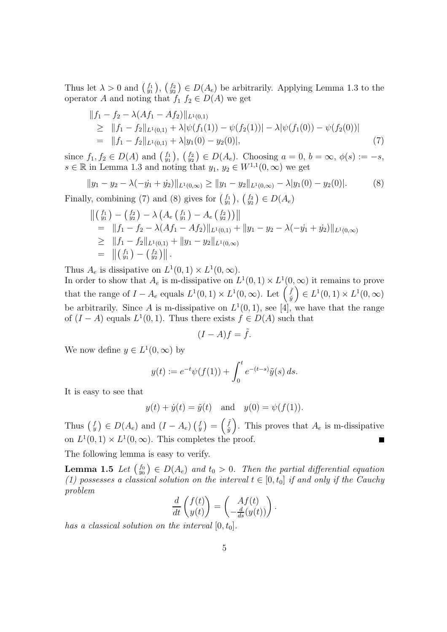Thus let  $\lambda > 0$  and  $\begin{pmatrix} f_1 \\ y_1 \end{pmatrix}$ ,  $\begin{pmatrix} f_2 \\ y_2 \end{pmatrix} \in D(A_e)$  be arbitrarily. Applying Lemma 1.3 to the operator A and noting that  $f_1$   $f_2 \in D(A)$  we get

$$
||f_1 - f_2 - \lambda (Af_1 - Af_2)||_{L^1(0,1)}\ge ||f_1 - f_2||_{L^1(0,1)} + \lambda |\psi(f_1(1)) - \psi(f_2(1))| - \lambda |\psi(f_1(0)) - \psi(f_2(0))|= ||f_1 - f_2||_{L^1(0,1)} + \lambda |y_1(0) - y_2(0)|,
$$
\n(7)

since  $f_1, f_2 \in D(A)$  and  $\begin{pmatrix} f_1 \\ y_1 \end{pmatrix}$ ,  $\begin{pmatrix} f_2 \\ y_2 \end{pmatrix} \in D(A_e)$ . Choosing  $a = 0, b = \infty, \phi(s) := -s$ ,  $s \in \mathbb{R}$  in Lemma 1.3 and noting that  $y_1, y_2 \in W^{1,1}(0, \infty)$  we get

$$
||y_1 - y_2 - \lambda(-\dot{y}_1 + \dot{y}_2)||_{L^1(0,\infty)} \ge ||y_1 - y_2||_{L^1(0,\infty)} - \lambda|y_1(0) - y_2(0)|. \tag{8}
$$

Finally, combining (7) and (8) gives for  $\begin{pmatrix} f_1 \\ y_1 \end{pmatrix}$ ,  $\begin{pmatrix} f_2 \\ y_2 \end{pmatrix} \in D(A_e)$ 

$$
\begin{aligned}\n&\left\|\left(\begin{smallmatrix}f_1\\y_1\end{smallmatrix}\right)-\left(\begin{smallmatrix}f_2\\y_2\end{smallmatrix}\right)-\lambda\left(A_e\left(\begin{smallmatrix}f_1\\y_1\end{smallmatrix}\right)-A_e\left(\begin{smallmatrix}f_2\\y_2\end{smallmatrix}\right)\right)\right\| \\
&= \|f_1-f_2-\lambda(Af_1-Af_2)\|_{L^1(0,1)} + \|y_1-y_2-\lambda(-\dot{y_1}+\dot{y_2})\|_{L^1(0,\infty)} \\
&\geq \|f_1-f_2\|_{L^1(0,1)} + \|y_1-y_2\|_{L^1(0,\infty)} \\
&= \| \left(\begin{smallmatrix}f_1\\y_1\end{smallmatrix}\right)-\left(\begin{smallmatrix}f_2\\y_2\end{smallmatrix}\right)\right\|.\n\end{aligned}
$$

Thus  $A_e$  is dissipative on  $L^1(0,1) \times L^1(0,\infty)$ .

In order to show that  $A_e$  is m-dissipative on  $L^1(0,1) \times L^1(0,\infty)$  it remains to prove that the range of  $I - A_e$  equals  $L^1(0,1) \times L^1(0,\infty)$ . Let  $\begin{pmatrix} \tilde{f} \\ \tilde{y} \end{pmatrix}$  $\left(\begin{matrix} \tilde{f} \\ \tilde{y} \end{matrix}\right) \in L^1(0,1) \times L^1(0,\infty)$ be arbitrarily. Since A is m-dissipative on  $L^1(0,1)$ , see [4], we have that the range of  $(I - A)$  equals  $L^1(0, 1)$ . Thus there exists  $f \in D(A)$  such that

$$
(I - A)f = \tilde{f}.
$$

We now define  $y \in L^1(0, \infty)$  by

$$
y(t) := e^{-t} \psi(f(1)) + \int_0^t e^{-(t-s)} \tilde{y}(s) ds.
$$

It is easy to see that

$$
y(t) + \dot{y}(t) = \tilde{y}(t)
$$
 and  $y(0) = \psi(f(1)).$ 

Thus  $\begin{pmatrix} f \\ y \end{pmatrix} \in D(A_e)$  and  $(I - A_e) \begin{pmatrix} f \\ y \end{pmatrix} = \begin{pmatrix} \tilde{f} \\ \tilde{y} \end{pmatrix}$  $(\tilde{f})$ . This proves that  $A_e$  is m-dissipative on  $L^1(0,1) \times L^1(0,\infty)$ . This completes the proof.

The following lemma is easy to verify.

**Lemma 1.5** Let  $\begin{pmatrix} f_0 \\ y_0 \end{pmatrix} \in D(A_e)$  and  $t_0 > 0$ . Then the partial differential equation (1) possesses a classical solution on the interval  $t \in [0, t_0]$  if and only if the Cauchy problem

$$
\frac{d}{dt}\begin{pmatrix}f(t)\\y(t)\end{pmatrix}=\begin{pmatrix}Af(t)\\-\frac{d}{ds}(y(t))\end{pmatrix}.
$$

has a classical solution on the interval  $[0, t_0]$ .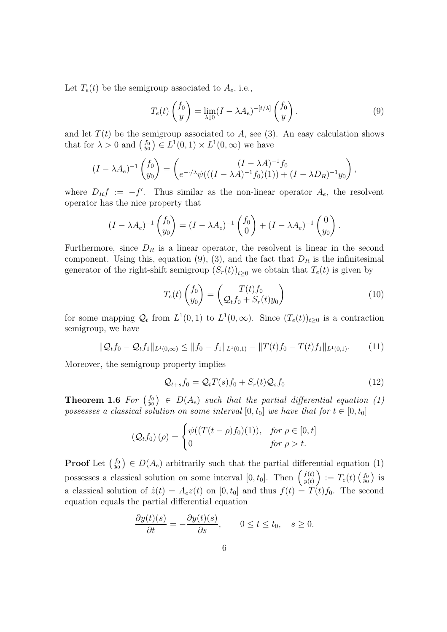Let  $T_e(t)$  be the semigroup associated to  $A_e$ , i.e.,

$$
T_e(t)\begin{pmatrix}f_0\\y\end{pmatrix} = \lim_{\lambda \downarrow 0} (I - \lambda A_e)^{-[t/\lambda]} \begin{pmatrix}f_0\\y\end{pmatrix}.
$$
 (9)

and let  $T(t)$  be the semigroup associated to A, see (3). An easy calculation shows that for  $\lambda > 0$  and  $\begin{pmatrix} f_0 \\ y_0 \end{pmatrix} \in L^1(0,1) \times L^1(0,\infty)$  we have

$$
(I - \lambda A_e)^{-1} \begin{pmatrix} f_0 \\ y_0 \end{pmatrix} = \begin{pmatrix} (I - \lambda A)^{-1} f_0 \\ e^{-\lambda A} \psi (((I - \lambda A)^{-1} f_0)(1)) + (I - \lambda D_R)^{-1} y_0 \end{pmatrix},
$$

where  $D_R f := -f'$ . Thus similar as the non-linear operator  $A_e$ , the resolvent operator has the nice property that

$$
(I - \lambda A_e)^{-1} \begin{pmatrix} f_0 \\ y_0 \end{pmatrix} = (I - \lambda A_e)^{-1} \begin{pmatrix} f_0 \\ 0 \end{pmatrix} + (I - \lambda A_e)^{-1} \begin{pmatrix} 0 \\ y_0 \end{pmatrix}.
$$

Furthermore, since  $D_R$  is a linear operator, the resolvent is linear in the second component. Using this, equation (9), (3), and the fact that  $D_R$  is the infinitesimal generator of the right-shift semigroup  $(S_r(t))_{t\geq 0}$  we obtain that  $T_e(t)$  is given by

$$
T_e(t)\begin{pmatrix}f_0\\y_0\end{pmatrix} = \begin{pmatrix}T(t)f_0\\Q_tf_0+S_r(t)y_0\end{pmatrix}
$$
\n(10)

for some mapping  $Q_t$  from  $L^1(0,1)$  to  $L^1(0,\infty)$ . Since  $(T_e(t))_{t\geq0}$  is a contraction semigroup, we have

$$
\|\mathcal{Q}_t f_0 - \mathcal{Q}_t f_1\|_{L^1(0,\infty)} \le \|f_0 - f_1\|_{L^1(0,1)} - \|T(t)f_0 - T(t)f_1\|_{L^1(0,1)}.\tag{11}
$$

Moreover, the semigroup property implies

$$
\mathcal{Q}_{t+s}f_0 = \mathcal{Q}_t T(s)f_0 + S_r(t)\mathcal{Q}_s f_0 \tag{12}
$$

**Theorem 1.6** For  $\begin{pmatrix} f_0 \\ y_0 \end{pmatrix} \in D(A_e)$  such that the partial differential equation (1) possesses a classical solution on some interval  $[0, t_0]$  we have that for  $t \in [0, t_0]$ 

$$
\left(\mathcal{Q}_t f_0\right)(\rho) = \begin{cases} \psi((T(t-\rho)f_0)(1)), & \text{for } \rho \in [0, t] \\ 0 & \text{for } \rho > t. \end{cases}
$$

**Proof** Let  $\begin{pmatrix} f_0 \\ y_0 \end{pmatrix} \in D(A_e)$  arbitrarily such that the partial differential equation (1) possesses a classical solution on some interval  $[0, t_0]$ . Then  $\begin{pmatrix} f(t) \\ u(t) \end{pmatrix}$  $\left(\begin{smallmatrix} f(t) \ y(t) \end{smallmatrix} \right) \,:=\, T_e(t) \left(\begin{smallmatrix} f_0 \ y_0 \end{smallmatrix} \right) \,$  is a classical solution of  $\dot{z}(t) = A_e z(t)$  on  $[0, t_0]$  and thus  $f(t) = T(t)f_0$ . The second equation equals the partial differential equation

$$
\frac{\partial y(t)(s)}{\partial t} = -\frac{\partial y(t)(s)}{\partial s}, \qquad 0 \le t \le t_0, \quad s \ge 0.
$$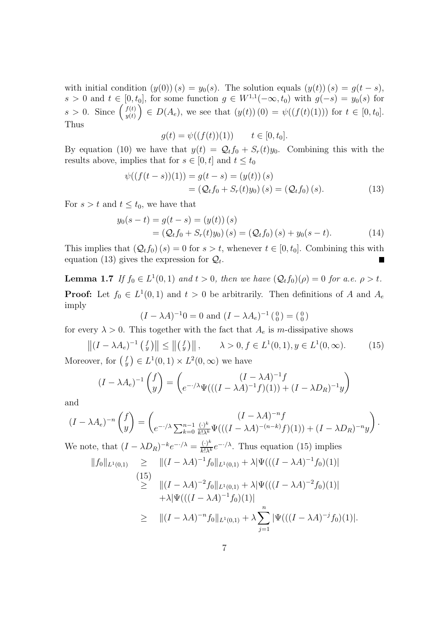with initial condition  $(y(0))(s) = y_0(s)$ . The solution equals  $(y(t))(s) = g(t-s)$ ,  $s > 0$  and  $t \in [0, t_0]$ , for some function  $g \in W^{1,1}(-\infty, t_0)$  with  $g(-s) = y_0(s)$  for  $s > 0$ . Since  $\left(\begin{array}{c} f(t) \\ y(t) \end{array}\right)$  $y_{y(t)}^{f(t)}$   $\in D(A_e)$ , we see that  $(y(t))(0) = \psi((f(t)(1)))$  for  $t \in [0, t_0]$ . Thus

$$
g(t) = \psi((f(t))(1)) \qquad t \in [0, t_0].
$$

By equation (10) we have that  $y(t) = Q_t f_0 + S_r(t) y_0$ . Combining this with the results above, implies that for  $s \in [0, t]$  and  $t \le t_0$ 

$$
\psi((f(t-s))(1)) = g(t-s) = (y(t))(s)
$$
  
=  $(Q_t f_0 + S_r(t)y_0)(s) = (Q_t f_0)(s).$  (13)

For  $s > t$  and  $t \leq t_0$ , we have that

$$
y_0(s-t) = g(t-s) = (y(t))(s)
$$
  
=  $(Q_t f_0 + S_r(t) y_0)(s) = (Q_t f_0)(s) + y_0(s-t).$  (14)

This implies that  $(Q_t f_0)(s) = 0$  for  $s > t$ , whenever  $t \in [0, t_0]$ . Combining this with equation (13) gives the expression for  $\mathcal{Q}_t$ .

**Lemma 1.7** If  $f_0 \in L^1(0,1)$  and  $t > 0$ , then we have  $(Q_t f_0)(\rho) = 0$  for a.e.  $\rho > t$ . **Proof:** Let  $f_0 \in L^1(0,1)$  and  $t > 0$  be arbitrarily. Then definitions of A and  $A_e$ imply

$$
(I - \lambda A)^{-1}0 = 0
$$
 and  $(I - \lambda A_e)^{-1} \begin{pmatrix} 0 \\ 0 \end{pmatrix} = \begin{pmatrix} 0 \\ 0 \end{pmatrix}$ 

for every  $\lambda > 0$ . This together with the fact that  $A_e$  is m-dissipative shows

 $||(I - \lambda A_e)^{-1} \left( \begin{array}{c} f \\ y \end{array} \right)|| \le ||\left( \begin{array}{c} f \\ y \end{array} \right)||, \qquad \lambda > 0, f \in L^1(0, 1), y \in L^1(0, \infty).$  (15) Moreover, for  $\begin{pmatrix} f \\ y \end{pmatrix} \in L^1(0,1) \times L^2(0,\infty)$  we have

$$
(I - \lambda A_e)^{-1} \begin{pmatrix} f \\ y \end{pmatrix} = \begin{pmatrix} (I - \lambda A)^{-1} f \\ e^{-\lambda A} \Psi(((I - \lambda A)^{-1} f)(1)) + (I - \lambda D_R)^{-1} y \end{pmatrix}
$$

and

$$
(I - \lambda A_e)^{-n} \begin{pmatrix} f \\ y \end{pmatrix} = \begin{pmatrix} (I - \lambda A)^{-n} f \\ e^{-\lambda \sum_{k=0}^{n-1} \frac{(\cdot)^k}{k! \lambda^k} \Psi(((I - \lambda A)^{-(n-k)} f)(1)) + (I - \lambda D_R)^{-n} y \end{pmatrix}.
$$
  
We note that  $(I - \lambda D_R)^{-k} e^{-\lambda \lambda} - \frac{(\cdot)^k}{k!} e^{-\lambda \lambda}$ . Thus equation (15) implies

We note, that  $(I - \lambda D_R)^{-k} e^{-\cdot/\lambda} = \frac{(\cdot)^k}{k! \lambda^k} e^{-\cdot/\lambda}$ . Thus equation (15) implies  $||f_0||_{L^1(0,1)} \ge ||(I - \lambda A)^{-1}f_0||_{L^1(0,1)} + \lambda |\Psi(((I - \lambda A)^{-1}f_0)(1)|$ 

$$
\begin{aligned}\n(15) &= \|(1 - \lambda A)^{-2} f_0\|_{L^1(0,1)} + \lambda |\Psi(((I - \lambda A)^{-2} f_0)(1)| \\
&\quad + \lambda |\Psi(((I - \lambda A)^{-1} f_0)(1)| \\
&\geq \|(I - \lambda A)^{-n} f_0\|_{L^1(0,1)} + \lambda \sum_{j=1}^n |\Psi(((I - \lambda A)^{-j} f_0)(1)|).\n\end{aligned}
$$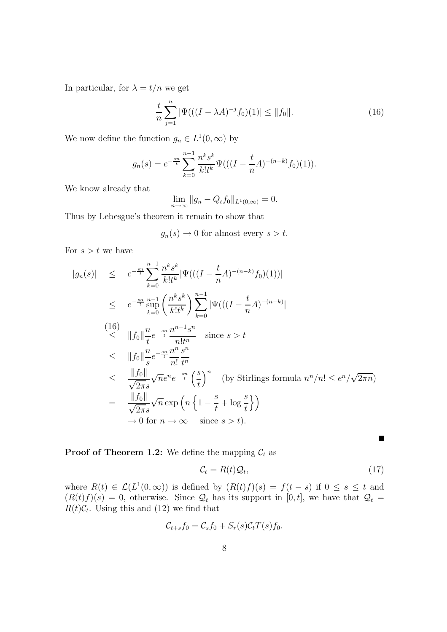In particular, for  $\lambda = t/n$  we get

$$
\frac{t}{n}\sum_{j=1}^{n} |\Psi(((I - \lambda A)^{-j}f_0)(1)| \le ||f_0||. \tag{16}
$$

We now define the function  $g_n \in L^1(0, \infty)$  by

$$
g_n(s) = e^{-\frac{sn}{t}} \sum_{k=0}^{n-1} \frac{n^k s^k}{k! t^k} \Psi(((I - \frac{t}{n} A)^{-(n-k)} f_0)(1)).
$$

We know already that

$$
\lim_{n \to \infty} \|g_n - Q_t f_0\|_{L^1(0,\infty)} = 0.
$$

Thus by Lebesgue's theorem it remain to show that

 $g_n(s) \to 0$  for almost every  $s > t$ .

For  $s > t$  we have

$$
|g_n(s)| \leq e^{-\frac{sn}{t}} \sum_{k=0}^{n-1} \frac{n^k s^k}{k! t^k} |\Psi(((I - \frac{t}{n} A)^{-(n-k)} f_0)(1))|
$$
  
\n
$$
\leq e^{-\frac{sn}{t}} \frac{n-1}{\sup} \left( \frac{n^k s^k}{k! t^k} \right) \sum_{k=0}^{n-1} |\Psi(((I - \frac{t}{n} A)^{-(n-k)}|
$$
  
\n(16)  
\n
$$
||f_0|| \frac{n}{t} e^{-\frac{sn}{t}} \frac{n^{n-1} s^n}{n! t^n} \text{ since } s > t
$$
  
\n
$$
\leq ||f_0|| \frac{n}{s} e^{-\frac{sn}{t}} \frac{n^n s^n}{n! t^n}
$$
  
\n
$$
\leq \frac{||f_0||}{\sqrt{2\pi s}} \sqrt{n} e^{n} e^{-\frac{sn}{t}} \left(\frac{s}{t}\right)^n \text{ (by Stirlings formula } n^n/n! \leq e^n/\sqrt{2\pi n})
$$
  
\n
$$
= \frac{||f_0||}{\sqrt{2\pi s}} \sqrt{n} \exp\left(n \left\{1 - \frac{s}{t} + \log \frac{s}{t}\right\}\right)
$$
  
\n
$$
\to 0 \text{ for } n \to \infty \text{ since } s > t).
$$

**Proof of Theorem 1.2:** We define the mapping  $C_t$  as

$$
\mathcal{C}_t = R(t)\mathcal{Q}_t,\tag{17}
$$

 $\blacksquare$ 

where  $R(t) \in \mathcal{L}(L^1(0,\infty))$  is defined by  $(R(t)f)(s) = f(t-s)$  if  $0 \le s \le t$  and  $(R(t) f)(s) = 0$ , otherwise. Since  $\mathcal{Q}_t$  has its support in [0, t], we have that  $\mathcal{Q}_t =$  $R(t)\mathcal{C}_t$ . Using this and (12) we find that

$$
\mathcal{C}_{t+s}f_0 = \mathcal{C}_s f_0 + S_r(s)\mathcal{C}_t T(s)f_0.
$$